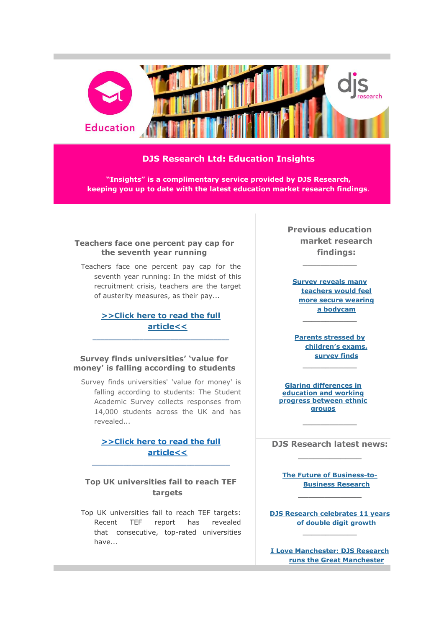

# **DJS Research Ltd: Education Insights**

**"Insights" is a complimentary service provided by DJS Research, keeping you up to date with the latest education market research findings**.

### **Teachers face one percent pay cap for the seventh year running**

Teachers face one percent pay cap for the seventh year running: In the midst of this recruitment crisis, teachers are the target of austerity measures, as their pay...

# **[>>Click here to read the full](http://www.djsresearch.co.uk/EducationMarketResearchInsightsAndFindings/article/Teachers-face-one-percent-pay-cap-for-the-seventh-year-running-03733)  [article<<](http://www.djsresearch.co.uk/EducationMarketResearchInsightsAndFindings/article/Teachers-face-one-percent-pay-cap-for-the-seventh-year-running-03733)**

 $\_$  ,  $\_$  ,  $\_$  ,  $\_$  ,  $\_$  ,  $\_$  ,  $\_$  ,  $\_$  ,  $\_$  ,  $\_$  ,  $\_$  ,  $\_$  ,  $\_$  ,  $\_$ 

### **Survey finds universities' 'value for money' is falling according to students**

Survey finds universities' 'value for money' is falling according to students: The Student Academic Survey collects responses from 14,000 students across the UK and has revealed...

### **[>>Click here to read the full](http://www.djsresearch.co.uk/EducationMarketResearchInsightsAndFindings/article/Survey-finds-universities-value-for-money-is-falling-according-to-students-03668)  [article<<](http://www.djsresearch.co.uk/EducationMarketResearchInsightsAndFindings/article/Survey-finds-universities-value-for-money-is-falling-according-to-students-03668)**

**\_\_\_\_\_\_\_\_\_\_\_\_\_\_\_\_\_\_\_\_\_\_\_\_\_\_\_\_\_\_\_\_\_\_\_**

# **Top UK universities fail to reach TEF targets**

Top UK universities fail to reach TEF targets: Recent TEF report has revealed that consecutive, top-rated universities have...

**Previous education market research findings:**

**\_\_\_\_\_\_\_\_\_\_\_\_**

**[Survey reveals many](http://www.djsresearch.co.uk/EducationMarketResearchInsightsAndFindings/article/Survey-reveals-many-teachers-would-feel-more-secure-wearing-a-bodycam-03508)  [teachers would feel](http://www.djsresearch.co.uk/EducationMarketResearchInsightsAndFindings/article/Survey-reveals-many-teachers-would-feel-more-secure-wearing-a-bodycam-03508)  [more secure wearing](http://www.djsresearch.co.uk/EducationMarketResearchInsightsAndFindings/article/Survey-reveals-many-teachers-would-feel-more-secure-wearing-a-bodycam-03508)  [a bodycam](http://www.djsresearch.co.uk/EducationMarketResearchInsightsAndFindings/article/Survey-reveals-many-teachers-would-feel-more-secure-wearing-a-bodycam-03508) \_\_\_\_\_\_\_\_\_\_\_\_**

**[Parents stressed by](http://www.djsresearch.co.uk/EducationMarketResearchInsightsAndFindings/article/Parents-stressed-by-childrens-exams-survey-finds-03606)  [children](http://www.djsresearch.co.uk/EducationMarketResearchInsightsAndFindings/article/Parents-stressed-by-childrens-exams-survey-finds-03606)'s exams, [survey finds](http://www.djsresearch.co.uk/EducationMarketResearchInsightsAndFindings/article/Parents-stressed-by-childrens-exams-survey-finds-03606)**

**\_\_\_\_\_\_\_\_\_\_\_\_**

**[Glaring differences in](http://www.djsresearch.co.uk/EducationMarketResearchInsightsAndFindings/article/Glaring-differences-in-education-and-working-progress-between-ethnic-groups-03434)  [education and working](http://www.djsresearch.co.uk/EducationMarketResearchInsightsAndFindings/article/Glaring-differences-in-education-and-working-progress-between-ethnic-groups-03434)  [progress between ethnic](http://www.djsresearch.co.uk/EducationMarketResearchInsightsAndFindings/article/Glaring-differences-in-education-and-working-progress-between-ethnic-groups-03434)  [groups](http://www.djsresearch.co.uk/EducationMarketResearchInsightsAndFindings/article/Glaring-differences-in-education-and-working-progress-between-ethnic-groups-03434)**

**DJS Research latest news: \_\_\_\_\_\_\_\_\_\_\_\_**

**\_\_\_\_\_\_\_\_\_\_\_\_**

**[The Future of Business-to-](http://www.djsresearch.co.uk/news/article/The-Future-of-Business-to-Business-Research)[Business Research](http://www.djsresearch.co.uk/news/article/The-Future-of-Business-to-Business-Research) \_\_\_\_\_\_\_\_\_\_\_\_**

**[DJS Research celebrates 11 years](http://www.djsresearch.co.uk/news/article/DJS-Research-celebrates-11-years-of-double-digit-growth)  [of double digit growth](http://www.djsresearch.co.uk/news/article/DJS-Research-celebrates-11-years-of-double-digit-growth) \_\_\_\_\_\_\_\_\_\_\_\_**

**[I Love Manchester: DJS Research](http://www.djsresearch.co.uk/news/article/I-Love-Manchester-DJS-Research-runs-the-Great-Manchester-10K-for-Manchester-Hospitals)  [runs the Great Manchester](http://www.djsresearch.co.uk/news/article/I-Love-Manchester-DJS-Research-runs-the-Great-Manchester-10K-for-Manchester-Hospitals)**